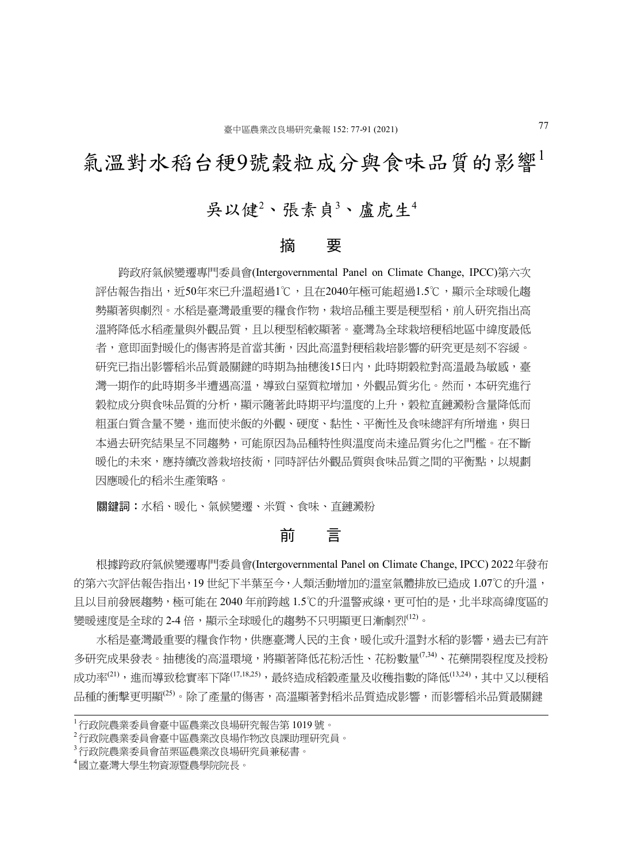## 氣溫對水稻台稉9號穀粒成分與食味品質的影響

### 吳以健2、張素貞3、盧虎生<sup>4</sup>

### 摘 要

 跨政府氣候變遷專門委員會(Intergovernmental Panel on Climate Change, IPCC)第六次 評估報告指出,近50年來已升溫超過1℃,且在2040年極可能超過1.5℃,顯示全球暖化趨 勢顯著與劇烈。水稻是臺灣最重要的糧食作物,栽培品種主要是稉型稻,前人研究指出高 溫將降低水稻產量與外觀品質,且以稉型稻較顯著。臺灣為全球栽培稉稻地區中緯度最低 者,意即面對暖化的傷害將是首當其衝,因此高溫對稉稻栽培影響的研究更是刻不容緩。 研究已指出影響稻米品質最關鍵的時期為抽穗後15日內,此時期穀粒對高溫最為敏感,臺 灣一期作的此時期多半遭遇高溫,導致白堊質粒增加,外觀品質劣化。然而,本研究進行 穀粒成分與食味品質的分析,顯示隨著此時期平均溫度的上升,穀粒直鏈澱粉含量降低而 **粗蛋白質含量不變,進而使米飯的外觀、硬度、黏性、平衡性及食味總評有所增進,與日** 本過去研究結果呈不同趨勢,可能原因為品種特性與溫度尚未達品質劣化之門檻。在不斷 暖化的未來,應持續改善栽培技術,同時評估外觀品質與食味品質之間的平衡點,以規劃 因應暖化的稻米生產策略。

關鍵詞:水稻、暖化、氣候變遷、米質、食味、直鏈澱粉

### 前 言

 根據跨政府氣候變遷專門委員會(Intergovernmental Panel on Climate Change, IPCC) 2022年發布 的第六次評估報告指出,19 世紀下半葉至今,人類活動增加的溫室氣體排放已造成 1.07℃的升溫, 日以目前發展趨勢,極可能在 2040 年前跨越 1.5℃的升溫警戒線,更可怕的是, 北半球高緯度區的 變暖速度是全球的 2-4 倍,顯示全球暖化的趨勢不只明顯更日漸劇烈<sup>(12)</sup>。

水稻是臺灣最重要的糧食作物,供應臺灣人民的主食,暖化或升溫對水稻的影響,過去已有許 多研究成果發表。抽穗後的高溫環境,將顯著降低花粉活性、花粉數量<sup>(7,34)</sup>、花藥開裂程度及授粉 成功率<sup>(21)</sup>,進而導致稔實率下降<sup>(17,18,25)</sup>,最終造成稻穀產量及收穫指數的降低<sup>(13,24)</sup>,其中又以稉稻 品種的衝擊更明顯<sup>(25)</sup>。除了產量的傷害,高溫顯著對稻米品質造成影響,而影響稻米品質最關鍵

<sup>1</sup>行政院農業委員會臺中區農業改良場研究報告第 1019 號。

<sup>2</sup>行政院農業委員會臺中區農業改良場作物改良課助理研究員。

<sup>3</sup>行政院農業委員會苗栗區農業改良場研究員兼秘書。

<sup>4</sup>國立臺灣大學生物資源暨農學院院長。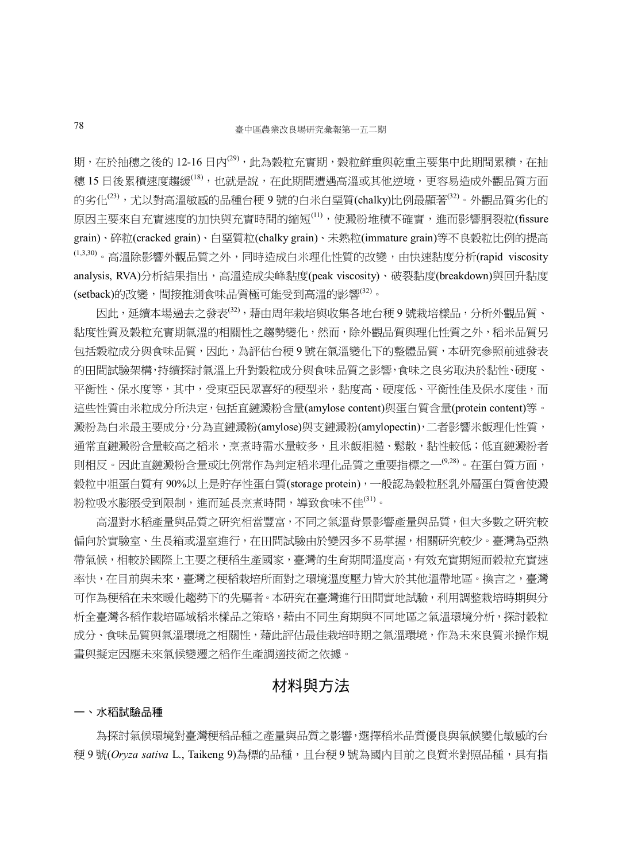期,在於抽穗之後的 12-16 日內<sup>(29)</sup>, 此為穀粒充實期,穀粒鮮重與乾重主要集中此期間累積, 在抽 穗 15 日後累積速度趨緩(18),也就是說,在此期間遭遇高溫或其他逆境,更容易造成外觀品質方面 的劣化<sup>(23)</sup>,尤以對高溫敏感的品種台稉 9 號的白米白堊質(chalky)比例最顯著<sup>(32)</sup>。外觀品質劣化的 原因主要來自充實速度的加快與充實時間的縮短(11),使澱粉堆積不確實,進而影響胴裂粒(fissure grain)、碎粒(cracked grain)、白堊質粒(chalky grain)、未熟粒(immature grain)等不良穀粒比例的提高  $^{(1,3,30)}$ 。高溫除影響外觀品質之外,同時造成白米理化性質的改變,由快速黏度分析(rapid viscosity analysis, RVA)分析結果指出,高溫造成尖峰黏度(peak viscosity)、破裂黏度(breakdown)與回升黏度 (setback)的改變,間接推測食味品質極可能受到高溫的影響(32)。

因此,延續本場過去之發表<sup>(32)</sup>,藉由周年栽培與收集各地台稉9號栽培樣品,分析外觀品質、 黏度性質及穀粒充實期氣溫的相關性之趨勢變化,然而,除外觀品質與理化性質之外,稻米品質另 包括穀粒成分與食味品質,因此,為評估台稉 9 號在氣溫變化下的整體品質,本研究參照前述發表 的田間試驗架構,持續探討氣溫上升對穀粒成分與食味品質之影響,食味之良劣取決於黏性、硬度、 平衡性、保水度等,其中,受東亞民眾喜好的稉型米,黏度高、硬度低、平衡性佳及保水度佳,而 這些性質由米粒成分所決定,包括直鏈澱粉含量(amylose content)與蛋白質含量(protein content)等。 澱粉為白米最主要成分,分為直鏈澱粉(amylose)與支鏈澱粉(amylopectin),二者影響米飯理化性質, 通常直鏈澱粉含量較高之稻米,烹煮時需水量較多,且米飯粗糙、鬆散,黏性較低;低直鏈澱粉者 則相反。因此直鏈澱粉含量或比例常作為判定稻米理化品質之重要指標之一(9,28)。在蛋白質方面, 穀粒中粗蛋白質有90%以上是貯存性蛋白質(storage protein),一般認為穀粒胚乳外層蛋白質會使澱 粉粒吸水膨脹受到限制,進而延長烹煮時間,導致食味不佳<sup>(31)</sup>。

 高溫對水稻產量與品質之研究相當豐富,不同之氣溫背景影響產量與品質,但大多數之研究較 偏向於實驗室、生長箱或溫室進行,在田間試驗由於變因多不易掌握,相關研究較少。臺灣為亞熱 帶氣候,相較於國際上主要之稉稻生產國家,臺灣的生育期間溫度高,有效充實期短而穀粒充實速 率快,在目前與未來,臺灣之稉稻栽培所面對之環境溫度壓力皆大於其他溫帶地區。換言之,臺灣 可作為稉稻在未來暖化趨勢下的先驅者。本研究在臺灣進行田間實地試驗,利用調整栽培時期與分 析全臺灣各稻作栽培區域稻米樣品之策略,藉由不同生育期與不同地區之氣溫環境分析,探討穀粒 成分、食味品質與氣溫環境之相關性,藉此評估最佳栽培時期之氣溫環境,作為未來良質米操作規 畫與擬定因應未來氣候變遷之稻作生產調適技術之依據。

### 材料與方法

#### 一、水稻試驗品種

為探討氣候環境對臺灣梗稻品種之產量與品質之影響,選擇稻米品質優良與氣候變化敏感的台 稉 9 號(*Oryza sativa* L., Taikeng 9)為標的品種,且台稉 9 號為國內目前之良質米對照品種,具有指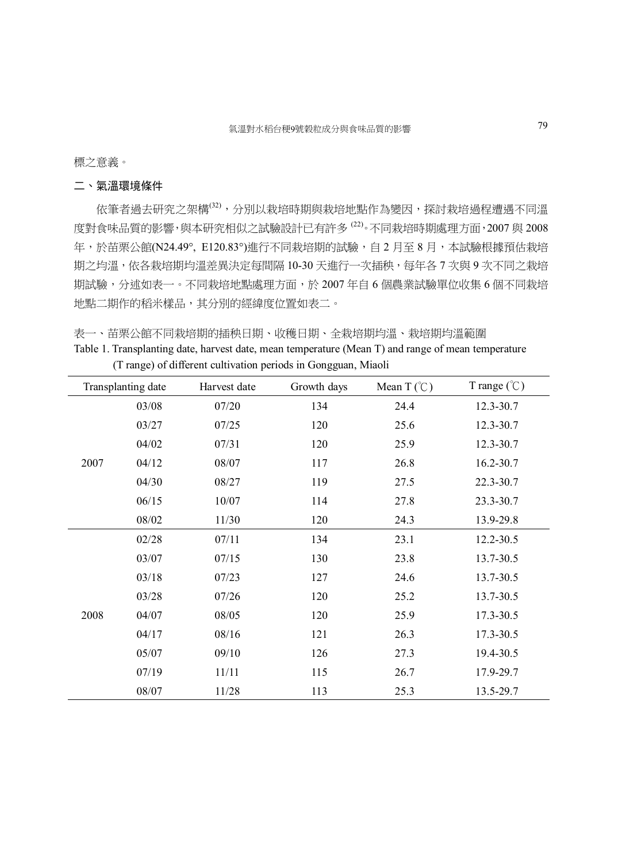標之意義。

### 二、氣溫環境條件

依筆者過去研究之架構(32),分別以栽培時期與栽培地點作為變因,探討栽培過程遭遇不同溫 度對食味品質的影響,與本研究相似之試驗設計已有許多 (22)。不同栽培時期處理方面,2007 與 2008 年,於苗栗公館(N24.49°, E120.83°)進行不同栽培期的試驗,自2月至8月,本試驗根據預估栽培 期之均溫,依各栽培期均溫差異決定每間隔 10-30 天進行一次插秧,每年各 7 次與 9 次不同之栽培 期試驗,分述如表一。不同栽培地點處理方面,於 2007 年自 6 個農業試驗單位收集 6 個不同栽培 地點二期作的稻米樣品,其分別的經緯度位置如表二。

表一、苗栗公館不同栽培期的插秧日期、收穫日期、全栽培期均溫、栽培期均溫範圍

| Table 1. Transplanting date, harvest date, mean temperature (Mean T) and range of mean temperature |  |  |  |
|----------------------------------------------------------------------------------------------------|--|--|--|
| (T range) of different cultivation periods in Gongguan, Miaoli                                     |  |  |  |

|      | Transplanting date | Harvest date | Growth days | Mean $T(\mathcal{C})$ | T range $(\degree C)$ |
|------|--------------------|--------------|-------------|-----------------------|-----------------------|
|      | 03/08              | 07/20        | 134         | 24.4                  | 12.3-30.7             |
|      | 03/27              | 07/25        | 120         | 25.6                  | 12.3-30.7             |
|      | 04/02              | 07/31        | 120         | 25.9                  | 12.3-30.7             |
| 2007 | 04/12              | 08/07        | 117         | 26.8                  | 16.2-30.7             |
|      | 04/30              | 08/27        | 119         | 27.5                  | 22.3-30.7             |
|      | 06/15              | 10/07        | 114         | 27.8                  | 23.3-30.7             |
|      | 08/02              | 11/30        | 120         | 24.3                  | 13.9-29.8             |
|      | 02/28              | 07/11        | 134         | 23.1                  | 12.2-30.5             |
|      | 03/07              | 07/15        | 130         | 23.8                  | 13.7-30.5             |
|      | 03/18              | 07/23        | 127         | 24.6                  | 13.7-30.5             |
|      | 03/28              | 07/26        | 120         | 25.2                  | 13.7-30.5             |
| 2008 | 04/07              | 08/05        | 120         | 25.9                  | 17.3-30.5             |
|      | 04/17              | 08/16        | 121         | 26.3                  | 17.3-30.5             |
|      | 05/07              | 09/10        | 126         | 27.3                  | 19.4-30.5             |
|      | 07/19              | 11/11        | 115         | 26.7                  | 17.9-29.7             |
|      | 08/07              | 11/28        | 113         | 25.3                  | 13.5-29.7             |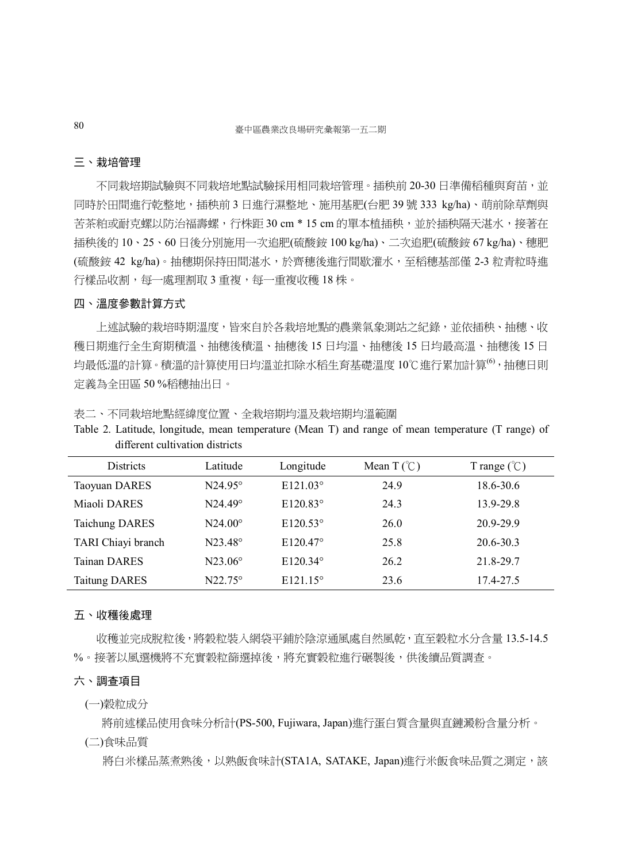#### 三、栽培管理

不同栽培期試驗與不同栽培地點試驗採用相同栽培管理。插秧前 20-30 日準備稻種與育苗,並 同時於田間進行乾整地,插秧前 3 日進行濕整地、施用基肥(台肥 39 號 333 kg/ha)、萌前除草劑與 苦茶粕或耐克螺以防治福壽螺, 行株距 30 cm \* 15 cm 的單本植插秧, 並於插秧隔天湛水, 接著在 插秧後的 10、25、60 日後分別施用一次追肥(硫酸銨 100 kg/ha)、二次追肥(硫酸銨 67 kg/ha)、穗肥 (硫酸銨 42 kg/ha)。抽穗期保持田間湛水,於齊穗後進行間歇灌水,至稻穗基部僅 2-3 粒青粒時進 行樣品收割,每一處理割取 3 重複,每一重複收穫 18 株。

### 四、溫度參數計算方式

 上述試驗的栽培時期溫度,皆來自於各栽培地點的農業氣象測站之紀錄,並依插秧、抽穗、收 穫日期進行全生育期積溫、抽穗後積溫、抽穗後 15 日均溫、抽穗後 15 日均最高溫、抽穗後 15 日 均最低溫的計算。積溫的計算使用日均溫並扣除水稻生育基礎溫度 10℃進行累加計算(6),抽穗日則 定義為全田區 50 %稻穗抽出日。

表二、不同栽培地點經緯度位置、全栽培期均溫及栽培期均溫範圍

Table 2. Latitude, longitude, mean temperature (Mean T) and range of mean temperature (T range) of different cultivation districts

| Districts             | Latitude       | Longitude         | Mean $T(\mathcal{C})$ | T range $(\mathcal{C})$ |
|-----------------------|----------------|-------------------|-----------------------|-------------------------|
| Taoyuan DARES         | $N24.95^\circ$ | $E121.03^\circ$   | 24.9                  | 18.6-30.6               |
| Miaoli DARES          | $N24.49^\circ$ | $E120.83^\circ$   | 24.3                  | 13.9-29.8               |
| <b>Taichung DARES</b> | $N24.00^\circ$ | $E120.53^\circ$   | 26.0                  | 20.9-29.9               |
| TARI Chiayi branch    | $N23.48^\circ$ | $E120.47^\circ$   | 25.8                  | 20.6-30.3               |
| <b>Tainan DARES</b>   | $N23.06^\circ$ | $E120.34^\circ$   | 26.2                  | 21.8-29.7               |
| <b>Taitung DARES</b>  | $N22.75^\circ$ | $E121.15^{\circ}$ | 23.6                  | 17.4-27.5               |

#### 五、收穫後處理

 收穫並完成脫粒後,將穀粒裝入網袋平鋪於陰涼通風處自然風乾,直至穀粒水分含量 13.5-14.5 %。接著以風選機將不充實穀粒篩選掉後,將充實穀粒進行碾製後,供後續品質調查。

#### 六、調查項目

(一)穀粒成分

將前述樣品使用食味分析計(PS-500, Fujiwara, Japan)進行蛋白質含量與直鏈澱粉含量分析。

(二)食味品質

將白米樣品蒸煮熟後,以熟飯食味計(STA1A, SATAKE, Japan)進行米飯食味品質之測定,該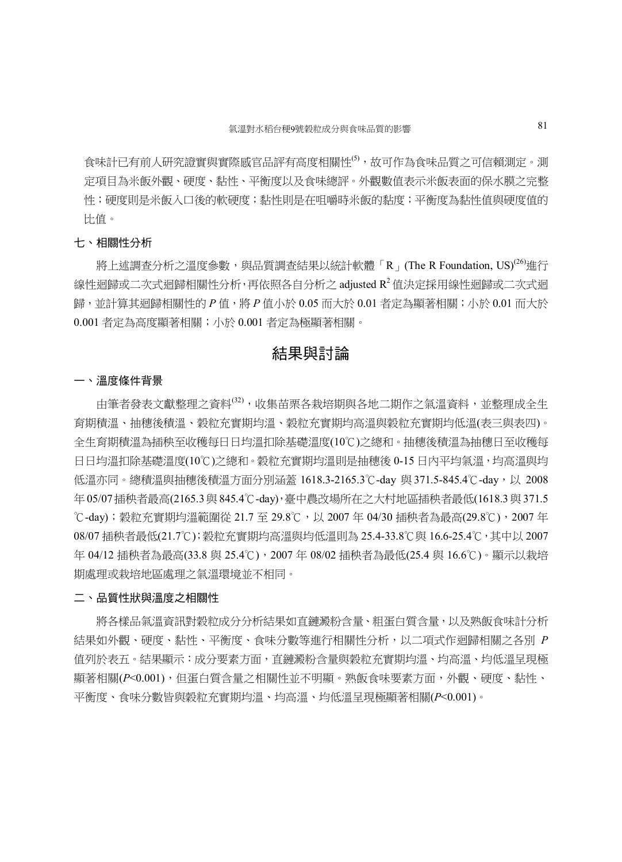食味計已有前人研究證實與實際感官品評有高度相關性<sup>(5),</sup>故可作為食味品質之可信賴測定。測 定項目為米飯外觀、硬度、黏性、平衡度以及食味總評。外觀數值表示米飯表面的保水膜之完整 性;硬度則是米飯入口後的軟硬度;黏性則是在咀嚼時米飯的黏度;平衡度為黏性值與硬度值的 比值。

### 七、相關性分析

 $\mathbb{R}$ 上述調查分析之溫度參數,與品質調查結果以統計軟體「 $R_1$  (The R Foundation, US)<sup>(26)</sup>進行 線性迴歸或二次式迴歸相關性分析,再依照各自分析之 adjusted R<sup>2</sup> 值決定採用線性迴歸或二次式迴 歸,並計算其迴歸相關性的 *P* 值, 將 *P* 值小於 0.05 而大於 0.01 者定為顯著相關; 小於 0.01 而大於 0.001 者定為高度顯著相關;小於 0.001 者定為極顯著相關。

### 結果與討論

#### 一、溫度條件背景

由筆者發表文獻整理之資料<sup>(32)</sup>,收集苗栗各栽培期與各地二期作之氣溫資料,並整理成全生 育期積溫、抽穗後積溫、穀粒充實期均溫、穀粒充實期均高溫與穀粒充實期均低溫(表三與表四)。 全生育期積溫為插秧至收穫每日日均溫扣除基礎溫度(10℃)之總和。抽穗後積溫為抽穗日至收穫每 日日均溫扣除基礎溫度(10℃)之總和。穀粒充實期均溫則是抽穗後 0-15 日內平均氣溫,均高溫與均 低溫亦同。總積溫與抽穗後積溫方面分別涵蓋 1618.3-2165.3℃-day 與 371.5-845.4℃-day,以 2008 年 05/07插秧者最高(2165.3與 845.4℃-day),臺中農改場所在之大村地區插秧者最低(1618.3 與371.5 ℃-day);穀粒充實期均溫範圍從 21.7 至 29.8℃,以 2007 年 04/30 插秧者為最高(29.8℃),2007 年 08/07 插秧者最低(21.7℃);穀粒充實期均高溫與均低溫則為 25.4-33.8℃與 16.6-25.4℃,其中以 2007 年 04/12 插秧者為最高(33.8 與 25.4℃), 2007年 08/02 插秧者為最低(25.4 與 16.6℃)。顯示以栽培 期處理或栽培地區處理之氣溫環境並不相同。

#### 二、品質性狀與溫度之相關性

 將各樣品氣溫資訊對穀粒成分分析結果如直鏈澱粉含量、粗蛋白質含量,以及熟飯食味計分析 結果如外觀、硬度、黏性、平衡度、食味分數等進行相關性分析,以二項式作迴歸相關之各別 *P* 值列於表五。結果顯示:成分要素方面,直鏈澱粉含量與穀粒充實期均溫、均高溫、均低溫呈現極 顯著相關(*P*<0.001),但蛋白質含量之相關性並不明顯。熟飯食味要素方面,外觀、硬度、黏性、 平衡度、食味分數皆與穀粒充實期均溫、均高溫、均低溫呈現極顯著相關(*P*<0.001)。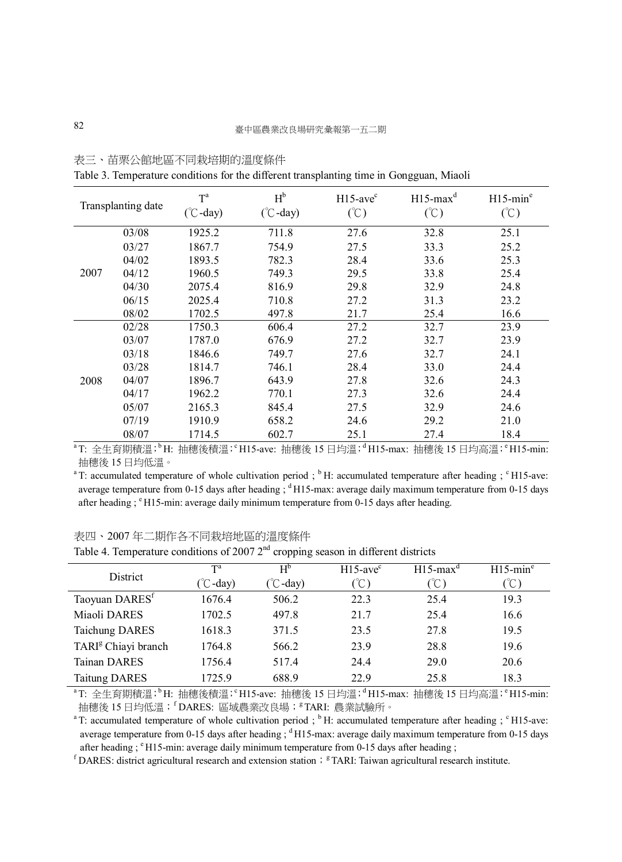|                    | л.    |                                      | л.                  |                                          | ັ                                        |                                          |
|--------------------|-------|--------------------------------------|---------------------|------------------------------------------|------------------------------------------|------------------------------------------|
| Transplanting date |       | $T^a$<br>$({}^{\circ}\text{C}$ -day) | $H^b$<br>$(C$ -day) | $H15$ -ave <sup>c</sup><br>$(\degree C)$ | $H15$ -max <sup>d</sup><br>$(\degree C)$ | $H15$ -min <sup>e</sup><br>$(\degree C)$ |
|                    | 03/08 | 1925.2                               | 711.8               | 27.6                                     | 32.8                                     | 25.1                                     |
|                    | 03/27 | 1867.7                               | 754.9               | 27.5                                     | 33.3                                     | 25.2                                     |
|                    | 04/02 | 1893.5                               | 782.3               | 28.4                                     | 33.6                                     | 25.3                                     |
| 2007               | 04/12 | 1960.5                               | 749.3               | 29.5                                     | 33.8                                     | 25.4                                     |
|                    | 04/30 | 2075.4                               | 816.9               | 29.8                                     | 32.9                                     | 24.8                                     |
|                    | 06/15 | 2025.4                               | 710.8               | 27.2                                     | 31.3                                     | 23.2                                     |
|                    | 08/02 | 1702.5                               | 497.8               | 21.7                                     | 25.4                                     | 16.6                                     |
| 2008               | 02/28 | 1750.3                               | 606.4               | 27.2                                     | 32.7                                     | 23.9                                     |
|                    | 03/07 | 1787.0                               | 676.9               | 27.2                                     | 32.7                                     | 23.9                                     |
|                    | 03/18 | 1846.6                               | 749.7               | 27.6                                     | 32.7                                     | 24.1                                     |
|                    | 03/28 | 1814.7                               | 746.1               | 28.4                                     | 33.0                                     | 24.4                                     |
|                    | 04/07 | 1896.7                               | 643.9               | 27.8                                     | 32.6                                     | 24.3                                     |
|                    | 04/17 | 1962.2                               | 770.1               | 27.3                                     | 32.6                                     | 24.4                                     |
|                    | 05/07 | 2165.3                               | 845.4               | 27.5                                     | 32.9                                     | 24.6                                     |
|                    | 07/19 | 1910.9                               | 658.2               | 24.6                                     | 29.2                                     | 21.0                                     |
|                    | 08/07 | 1714.5                               | 602.7               | 25.1                                     | 27.4                                     | 18.4                                     |

表三、苗栗公館地區不同栽培期的溫度條件

Table 3. Temperature conditions for the different transplanting time in Gongguan, Miaoli

 $^{\rm a}$ T: 全生育期積溫; $^{\rm b}$ H: 抽穗後積溫; $^{\rm c}$ H15-ave: 抽穗後 15 日均溫; $^{\rm d}$ H15-max: 抽穗後 15 日均高溫; $^{\rm c}$ H15-min: 抽穗後 15 日均低溫。

<sup>a</sup>T: accumulated temperature of whole cultivation period ; <sup>b</sup>H: accumulated temperature after heading ; <sup>c</sup>H15-ave: average temperature from 0-15 days after heading  $\frac{1}{2}$  <sup>d</sup> H15-max: average daily maximum temperature from 0-15 days after heading  $;$   $\degree$  H15-min: average daily minimum temperature from 0-15 days after heading.

### 表四、2007 年二期作各不同栽培地區的溫度條件

Table 4. Temperature conditions of 2007  $2<sup>nd</sup>$  cropping season in different districts

| <b>District</b>                 | $T^a$              | $H^b$             | $H15$ -ave <sup>c</sup> | $H15$ -max <sup>d</sup> | $H15$ -min <sup>e</sup> |
|---------------------------------|--------------------|-------------------|-------------------------|-------------------------|-------------------------|
|                                 | $(\degree C$ -day) | $^{\circ}$ C-day) | U                       | (°C)                    | -C                      |
| Taoyuan DARES <sup>t</sup>      | 1676.4             | 506.2             | 22.3                    | 25.4                    | 19.3                    |
| Miaoli DARES                    | 1702.5             | 497.8             | 21.7                    | 25.4                    | 16.6                    |
| <b>Taichung DARES</b>           | 1618.3             | 371.5             | 23.5                    | 27.8                    | 19.5                    |
| TARI <sup>g</sup> Chiayi branch | 1764.8             | 566.2             | 23.9                    | 28.8                    | 19.6                    |
| <b>Tainan DARES</b>             | 1756.4             | 517.4             | 24.4                    | 29.0                    | 20.6                    |
| <b>Taitung DARES</b>            | 1725.9             | 688.9             | 22.9                    | 25.8                    | 18.3                    |

<sup>a</sup>T: 全生育期積溫;<sup>b</sup>H: 抽穗後積溫; H15-ave: 抽穗後 15 日均溫; <sup>d</sup>H15-max: 抽穗後 15 日均高溫; <sup>e</sup>H15-min: 抽穗後 15 日均低溫;「DARES: 區域農業改良場;『TARI: 農業試驗所。

<sup>a</sup>T: accumulated temperature of whole cultivation period ; <sup>b</sup>H: accumulated temperature after heading ; <sup>c</sup>H15-ave: average temperature from 0-15 days after heading ; <sup>d</sup>H15-max: average daily maximum temperature from 0-15 days after heading ; <sup>e</sup>H15-min: average daily minimum temperature from 0-15 days after heading ;

 $f$  DARES: district agricultural research and extension station;  $gTART$ : Taiwan agricultural research institute.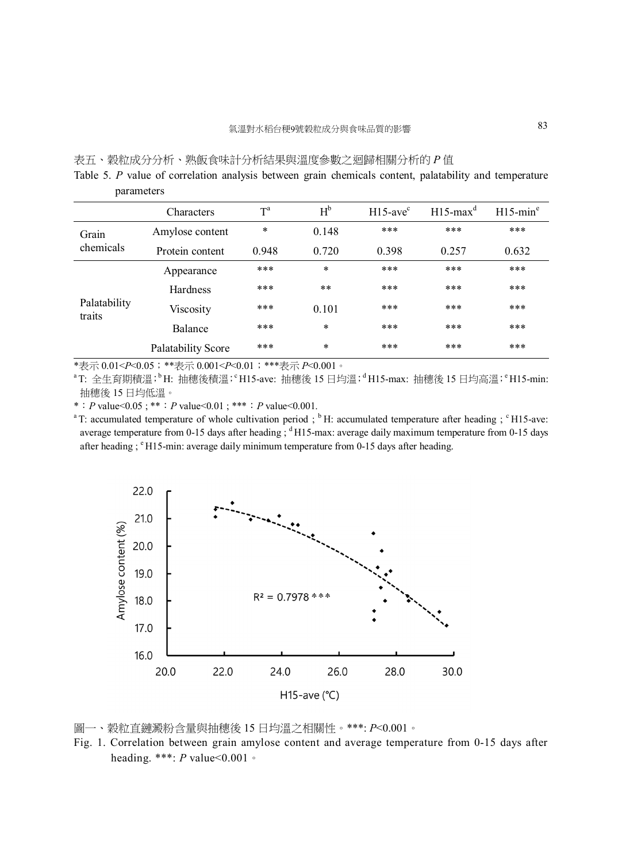### 表五、穀粒成分分析、熟飯食味計分析結果與溫度參數之迴歸相關分析的 *P* 值

Table 5. *P* value of correlation analysis between grain chemicals content, palatability and temperature parameters

|                        | Characters                | $T^a$ | $H^b$  | $H15$ -ave <sup>c</sup> | $H15$ -max <sup>d</sup> | $H15$ -min <sup>e</sup> |
|------------------------|---------------------------|-------|--------|-------------------------|-------------------------|-------------------------|
| Grain                  | Amylose content           | *     | 0.148  | ***                     | ***                     | ***                     |
| chemicals              | Protein content           | 0.948 | 0.720  | 0.398                   | 0.257                   | 0.632                   |
|                        | Appearance                | ***   | $\ast$ | ***                     | ***                     | ***                     |
|                        | Hardness                  | ***   | **     | ***                     | ***                     | ***                     |
| Palatability<br>traits | Viscosity                 | ***   | 0.101  | ***                     | ***                     | ***                     |
|                        | Balance                   | ***   | $\ast$ | ***                     | ***                     | ***                     |
|                        | <b>Palatability Score</b> | ***   | $\ast$ | ***                     | ***                     | ***                     |

\*表示 0.01<*P*<0.05;\*\*表示 0.001<*P*<0.01;\*\*\*表示 *P*<0.001。

 $^{\rm a}$ T: 全生育期積溫; $^{\rm b}$ H: 抽穗後積溫; $^{\rm c}$ H15-ave: 抽穗後 15 日均溫; $^{\rm d}$ H15-max: 抽穗後 15 日均高溫; $^{\rm e}$ H15-min: 抽穗後 15 日均低溫。

\*:*P* value<0.05 ; \*\*:*P* value<0.01 ; \*\*\*:*P* value<0.001.

<sup>a</sup>T: accumulated temperature of whole cultivation period ; <sup>b</sup>H: accumulated temperature after heading ; <sup>c</sup>H15-ave: average temperature from 0-15 days after heading ;  $d$  H15-max: average daily maximum temperature from 0-15 days after heading ; <sup>e</sup>H15-min: average daily minimum temperature from 0-15 days after heading.



圖一、穀粒直鏈澱粉含量與抽穗後 15 日均溫之相關性。\*\*\*: *P*<0.001。

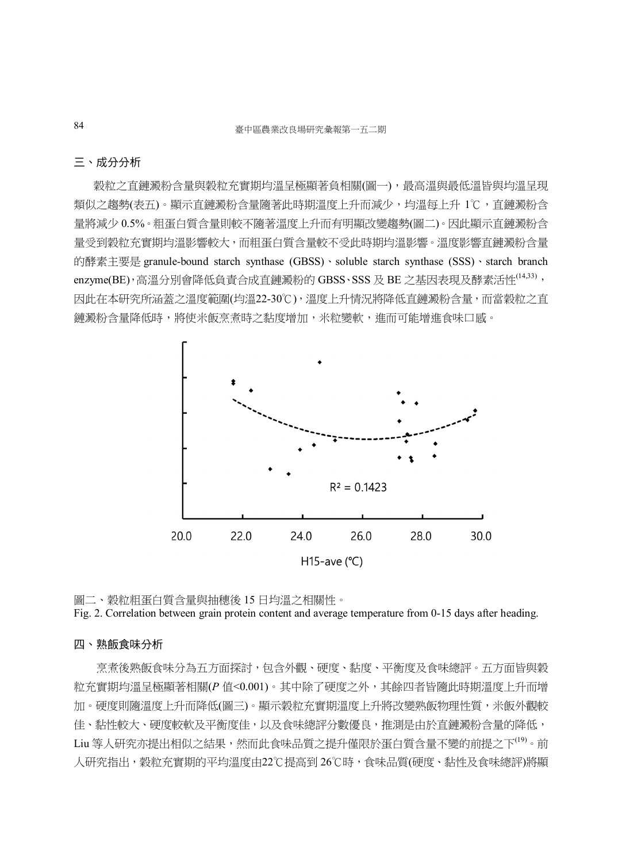### 三、成分分析

穀粒之直鏈澱粉含量與穀粒充實期均溫呈極顯著負相關(圖一),最高溫與最低溫皆與均溫呈現 類似之趨勢(表五)。顯示直鏈澱粉含量隨著此時期溫度上升而減少,均溫每上升 1℃,直鏈澱粉含 量將減少 0.5%。粗蛋白質含量則較不隨著溫度上升而有明顯改變趨勢(圖二)。因此顯示直鏈澱粉含 量受到穀粒充實期均溫影響較大,而粗蛋白質含量較不受此時期均溫影響。溫度影響直鏈澱粉含量 的酵素主要是 granule-bound starch synthase (GBSS)、soluble starch synthase (SSS)、starch branch enzyme(BE),高溫分別會降低負責合成直鏈澱粉的 GBSS、SSS 及 BE 之基因表現及酵素活性(14,33), 因此在本研究所涵蓋之溫度範圍(均溫22-30℃),溫度上升情況將降低直鏈澱粉含量,而當穀粒之直 鏈澱粉含量降低時,將使米飯烹煮時之黏度增加,米粒變軟,進而可能增進食味口感。



圖二、穀粒粗蛋白質含量與抽穗後 15 日均溫之相關性。

Fig. 2. Correlation between grain protein content and average temperature from 0-15 days after heading.

### 四、熟飯食味分析

 烹煮後熟飯食味分為五方面探討,包含外觀、硬度、黏度、平衡度及食味總評。五方面皆與穀 粒充實期均溫呈極顯著相關(*P* 值<0.001)。其中除了硬度之外,其餘四者皆隨此時期溫度上升而增 加。硬度則隨溫度上升而降低(圖三)。顯示穀粒充實期溫度上升將改變熟飯物理性質,米飯外觀較 佳、黏性較大、硬度較軟及平衡度佳,以及食味總評分數優良,推測是由於直鏈澱粉含量的降低, Liu 等人研究亦提出相似之結果,然而此食味品質之提升僅限於蛋白質含量不變的前提之下<sup>(19)</sup>。前 人研究指出,穀粒充實期的平均溫度由22℃提高到 26℃時,食味品質(硬度、黏性及食味總評)將顯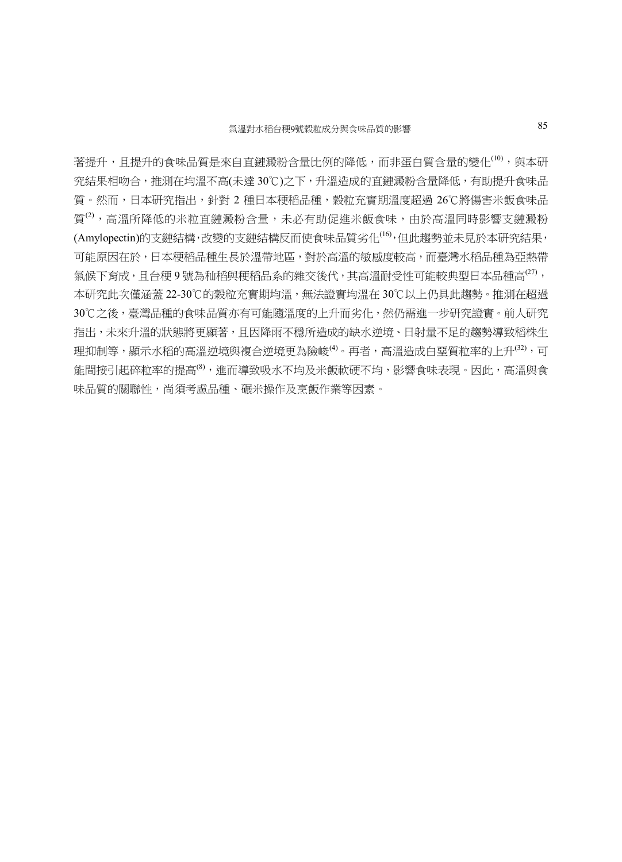著提升,且提升的食味品質是來自直鏈澱粉含量比例的降低,而非蛋白質含量的變化<sup>(10)</sup>,與本研 究結果相吻合,推測在均溫不高(未達 30℃)之下,升溫造成的直鏈澱粉含量降低,有助提升食味品 質。然而,日本研究指出,針對 2 種日本稉稻品種,穀粒充實期溫度超過 26℃將傷害米飯食味品 質<sup>(2)</sup>, 高溫所降低的米粒直鏈澱粉含量,未必有助促進米飯食味, 由於高溫同時影響支鏈澱粉 (Amylopectin)的支鏈結構,改變的支鏈結構反而使食味品質劣化(16),但此趨勢並未見於本研究結果, 可能原因在於,日本稉稻品種生長於溫帶地區,對於高溫的敏感度較高,而臺灣水稻品種為亞熱帶 氣候下育成,且台稉9 號為秈稻與稉稻品系的雜交後代,其高溫耐受性可能較典型日本品種高<sup>(27)</sup>, 本研究此次僅涵蓋 22-30℃的穀粒充實期均溫,無法證實均溫在 30℃以上仍具此趨勢。推測在超過 30℃之後,臺灣品種的食味品質亦有可能隨溫度的上升而劣化,然仍需進一步研究證實。前人研究 指出,未來升溫的狀態將更顯著,且因降雨不穩所造成的缺水逆境、日射量不足的趨勢導致稻株生 理抑制等,顯示水稻的高溫逆境與複合逆境更為險峻<sup>(4)</sup>。再者,高溫造成白堊質粒率的上升<sup>(32)</sup>,可 能間接引起碎粒率的提高(8),進而導致吸水不均及米飯軟硬不均,影響食味表現。因此,高溫與食 味品質的關聯性,尚須考慮品種、碾米操作及烹飯作業等因素。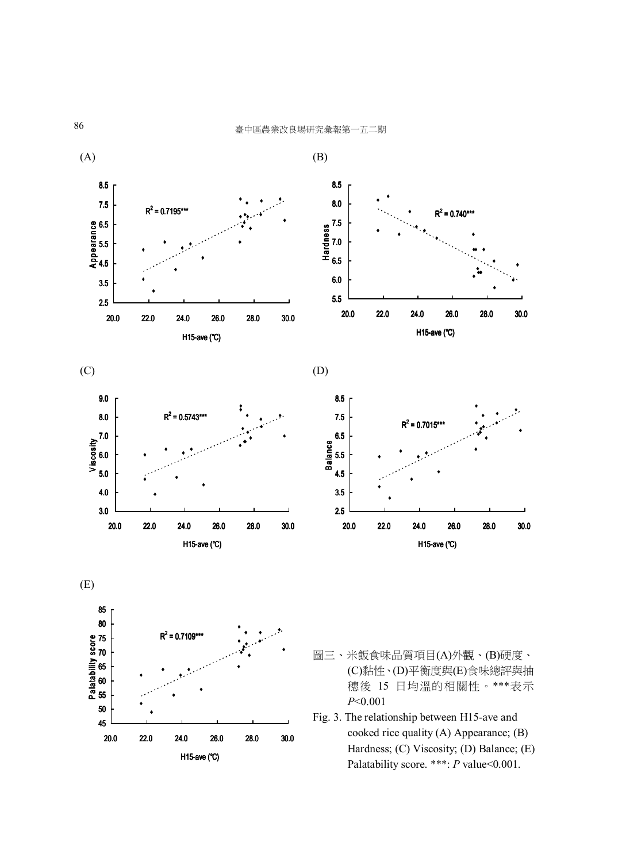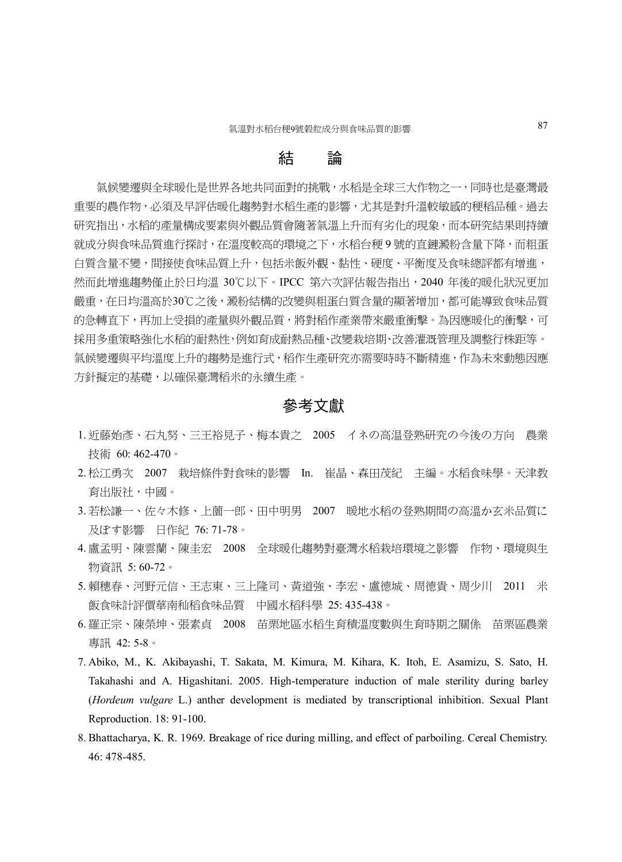### 結 論

 氣候變遷與全球暖化是世界各地共同面對的挑戰,水稻是全球三大作物之一,同時也是臺灣最 重要的農作物,必須及早評估暖化趨勢對水稻生產的影響,尤其是對升溫較敏感的稉稻品種。過去 研究指出,水稻的產量構成要素與外觀品質會隨著氣溫上升而有劣化的現象,而本研究結果則持續 就成分與食味品質進行探討,在溫度較高的環境之下,水稻台稉 9 號的直鏈澱粉含量下降,而粗蛋 白質含量不變,間接使食味品質上升,包括米飯外觀、黏性、硬度、平衡度及食味總評都有增進, 然而此增進趨勢僅止於日均溫 30℃以下。IPCC 第六次評估報告指出,2040 年後的暖化狀況更加 嚴重,在日均溫高於30℃之後,澱粉結構的改變與粗蛋白質含量的顯著增加,都可能導致食味品質 的急轉直下,再加上受損的產量與外觀品質,將對稻作產業帶來嚴重衝擊。為因應暖化的衝擊,可 採用多重策略強化水稻的耐熱性,例如育成耐熱品種、改變栽培期、改善灌溉管理及調整行株距等。 氣候變遷與平均溫度上升的趨勢是進行式,稻作生產研究亦需要時時不斷精進,作為未來動態因應 方針擬定的基礎,以確保臺灣稻米的永續生產。

### 參考文獻

- 1. 近藤始彥、石丸努、三王裕見子、梅本貴之 2005 イネの高温登熟研究の今後の方向 農業 技術 60: 462-470。
- 2. 松江勇次 2007 栽培條件對食味的影響 In. 崔晶、森田茂紀 主編。水稻食味學。天津教 育出版社,中國。
- 3. 若松謙一、佐々木修、上薗一郎、田中明男 2007 暖地水稻の登熟期間の高溫か玄米品質に 及ぼす影響 日作紀 76: 71-78。
- 4. 盧孟明、陳雲蘭、陳圭宏 2008 全球暖化趨勢對臺灣水稻栽培環境之影響 作物、環境與生 物資訊 5: 60-72。
- 5. 賴穗春、河野元信、王志東、三上隆司、黃道強、李宏、盧德城、周德貴、周少川 2011 米 飯食味計評價華南秈稻食味品質 中國水稻科學 25: 435-438。
- 6. 羅正宗、陳榮坤、張素貞 2008 苗栗地區水稻生育積溫度數與生育時期之關係 苗栗區農業 專訊 42: 5-8。
- 7. Abiko, M., K. Akibayashi, T. Sakata, M. Kimura, M. Kihara, K. Itoh, E. Asamizu, S. Sato, H. Takahashi and A. Higashitani. 2005. High-temperature induction of male sterility during barley (*Hordeum vulgare* L.) anther development is mediated by transcriptional inhibition. Sexual Plant Reproduction. 18: 91-100.
- 8. Bhattacharya, K. R. 1969. Breakage of rice during milling, and effect of parboiling. Cereal Chemistry. 46: 478-485.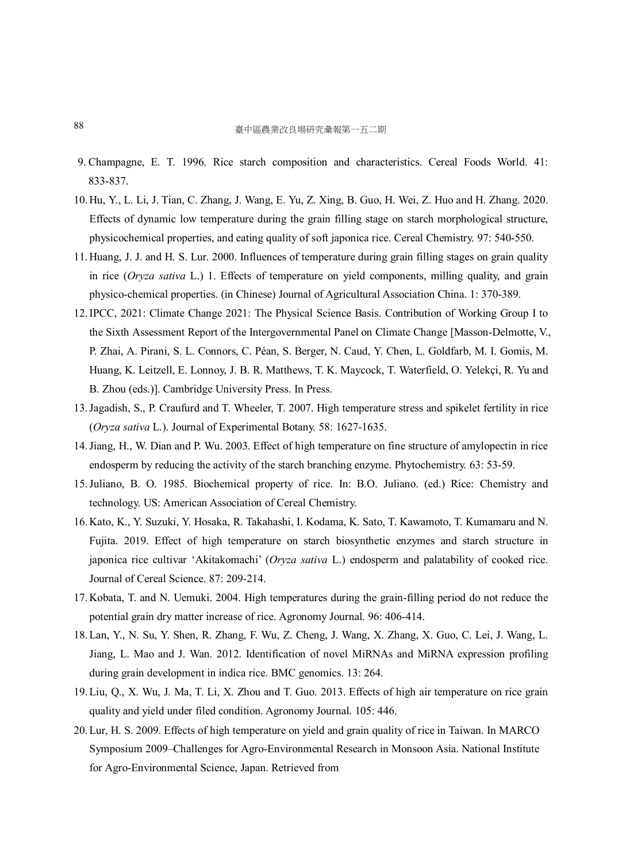- 9. Champagne, E. T. 1996. Rice starch composition and characteristics. Cereal Foods World. 41: 833-837.
- 10.Hu, Y., L. Li, J. Tian, C. Zhang, J. Wang, E. Yu, Z. Xing, B. Guo, H. Wei, Z. Huo and H. Zhang. 2020. Effects of dynamic low temperature during the grain filling stage on starch morphological structure, physicochemical properties, and eating quality of soft japonica rice. Cereal Chemistry. 97: 540-550.
- 11.Huang, J. J. and H. S. Lur. 2000. Influences of temperature during grain filling stages on grain quality in rice (*Oryza sativa* L.) 1. Effects of temperature on yield components, milling quality, and grain physico-chemical properties. (in Chinese) Journal of Agricultural Association China. 1: 370-389.
- 12.IPCC, 2021: Climate Change 2021: The Physical Science Basis. Contribution of Working Group I to the Sixth Assessment Report of the Intergovernmental Panel on Climate Change [Masson-Delmotte, V., P. Zhai, A. Pirani, S. L. Connors, C. Péan, S. Berger, N. Caud, Y. Chen, L. Goldfarb, M. I. Gomis, M. Huang, K. Leitzell, E. Lonnoy, J. B. R. Matthews, T. K. Maycock, T. Waterfield, O. Yelekçi, R. Yu and B. Zhou (eds.)]. Cambridge University Press. In Press.
- 13.Jagadish, S., P. Craufurd and T. Wheeler, T. 2007. High temperature stress and spikelet fertility in rice (*Oryza sativa* L.). Journal of Experimental Botany. 58: 1627-1635.
- 14.Jiang, H., W. Dian and P. Wu. 2003. Effect of high temperature on fine structure of amylopectin in rice endosperm by reducing the activity of the starch branching enzyme. Phytochemistry. 63: 53-59.
- 15.Juliano, B. O. 1985. Biochemical property of rice. In: B.O. Juliano. (ed.) Rice: Chemistry and technology. US: American Association of Cereal Chemistry.
- 16.Kato, K., Y. Suzuki, Y. Hosaka, R. Takahashi, I. Kodama, K. Sato, T. Kawamoto, T. Kumamaru and N. Fujita. 2019. Effect of high temperature on starch biosynthetic enzymes and starch structure in japonica rice cultivar 'Akitakomachi' (*Oryza sativa* L.) endosperm and palatability of cooked rice. Journal of Cereal Science. 87: 209-214.
- 17.Kobata, T. and N. Uemuki. 2004. High temperatures during the grain-filling period do not reduce the potential grain dry matter increase of rice. Agronomy Journal. 96: 406-414.
- 18.Lan, Y., N. Su, Y. Shen, R. Zhang, F. Wu, Z. Cheng, J. Wang, X. Zhang, X. Guo, C. Lei, J. Wang, L. Jiang, L. Mao and J. Wan. 2012. Identification of novel MiRNAs and MiRNA expression profiling during grain development in indica rice. BMC genomics. 13: 264.
- 19.Liu, Q., X. Wu, J. Ma, T. Li, X. Zhou and T. Guo. 2013. Effects of high air temperature on rice grain quality and yield under filed condition. Agronomy Journal. 105: 446.
- 20.Lur, H. S. 2009. Effects of high temperature on yield and grain quality of rice in Taiwan. In MARCO Symposium 2009–Challenges for Agro-Environmental Research in Monsoon Asia. National Institute for Agro-Environmental Science, Japan. Retrieved from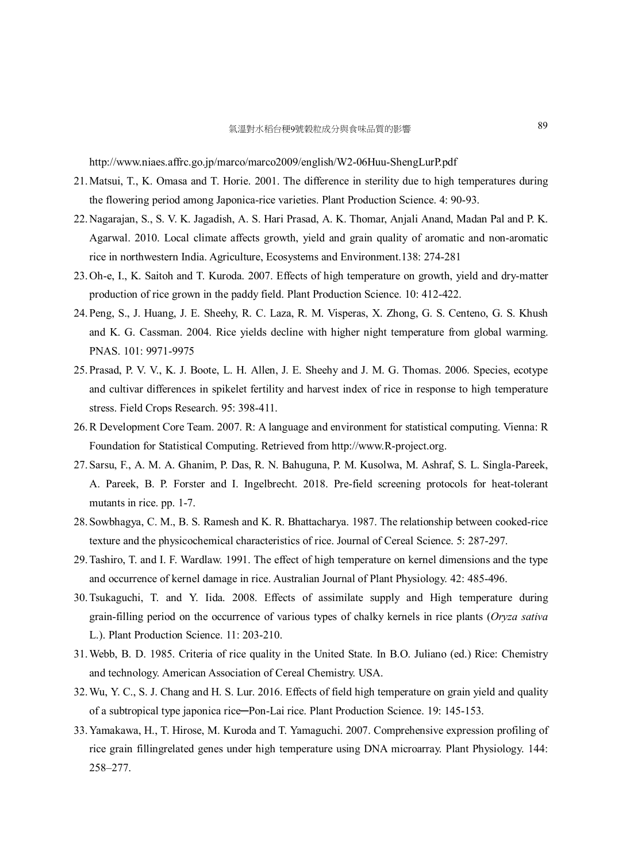http://www.niaes.affrc.go.jp/marco/marco2009/english/W2-06Huu-ShengLurP.pdf

- 21.Matsui, T., K. Omasa and T. Horie. 2001. The difference in sterility due to high temperatures during the flowering period among Japonica-rice varieties. Plant Production Science. 4: 90-93.
- 22.Nagarajan, S., S. V. K. Jagadish, A. S. Hari Prasad, A. K. Thomar, Anjali Anand, Madan Pal and P. K. Agarwal. 2010. Local climate affects growth, yield and grain quality of aromatic and non-aromatic rice in northwestern India. Agriculture, Ecosystems and Environment.138: 274-281
- 23.Oh-e, I., K. Saitoh and T. Kuroda. 2007. Effects of high temperature on growth, yield and dry-matter production of rice grown in the paddy field. Plant Production Science. 10: 412-422.
- 24.Peng, S., J. Huang, J. E. Sheehy, R. C. Laza, R. M. Visperas, X. Zhong, G. S. Centeno, G. S. Khush and K. G. Cassman. 2004. Rice yields decline with higher night temperature from global warming. PNAS. 101: 9971-9975
- 25.Prasad, P. V. V., K. J. Boote, L. H. Allen, J. E. Sheehy and J. M. G. Thomas. 2006. Species, ecotype and cultivar differences in spikelet fertility and harvest index of rice in response to high temperature stress. Field Crops Research. 95: 398-411.
- 26.R Development Core Team. 2007. R: A language and environment for statistical computing. Vienna: R Foundation for Statistical Computing. Retrieved from http://www.R-project.org.
- 27.Sarsu, F., A. M. A. Ghanim, P. Das, R. N. Bahuguna, P. M. Kusolwa, M. Ashraf, S. L. Singla-Pareek, A. Pareek, B. P. Forster and I. Ingelbrecht. 2018. Pre-field screening protocols for heat-tolerant mutants in rice. pp. 1-7.
- 28.Sowbhagya, C. M., B. S. Ramesh and K. R. Bhattacharya. 1987. The relationship between cooked-rice texture and the physicochemical characteristics of rice. Journal of Cereal Science. 5: 287-297.
- 29.Tashiro, T. and I. F. Wardlaw. 1991. The effect of high temperature on kernel dimensions and the type and occurrence of kernel damage in rice. Australian Journal of Plant Physiology. 42: 485-496.
- 30.Tsukaguchi, T. and Y. Iida. 2008. Effects of assimilate supply and High temperature during grain-filling period on the occurrence of various types of chalky kernels in rice plants (*Oryza sativa* L.). Plant Production Science. 11: 203-210.
- 31.Webb, B. D. 1985. Criteria of rice quality in the United State. In B.O. Juliano (ed.) Rice: Chemistry and technology. American Association of Cereal Chemistry. USA.
- 32.Wu, Y. C., S. J. Chang and H. S. Lur. 2016. Effects of field high temperature on grain yield and quality of a subtropical type japonica rice-Pon-Lai rice. Plant Production Science. 19: 145-153.
- 33.Yamakawa, H., T. Hirose, M. Kuroda and T. Yamaguchi. 2007. Comprehensive expression profiling of rice grain fillingrelated genes under high temperature using DNA microarray. Plant Physiology. 144: 258–277.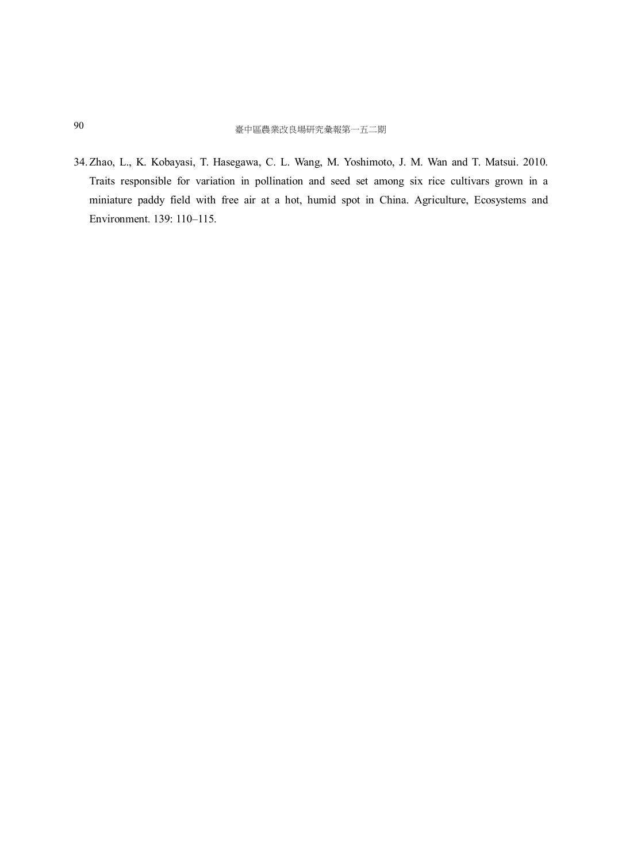34.Zhao, L., K. Kobayasi, T. Hasegawa, C. L. Wang, M. Yoshimoto, J. M. Wan and T. Matsui. 2010. Traits responsible for variation in pollination and seed set among six rice cultivars grown in a miniature paddy field with free air at a hot, humid spot in China. Agriculture, Ecosystems and Environment. 139: 110–115.